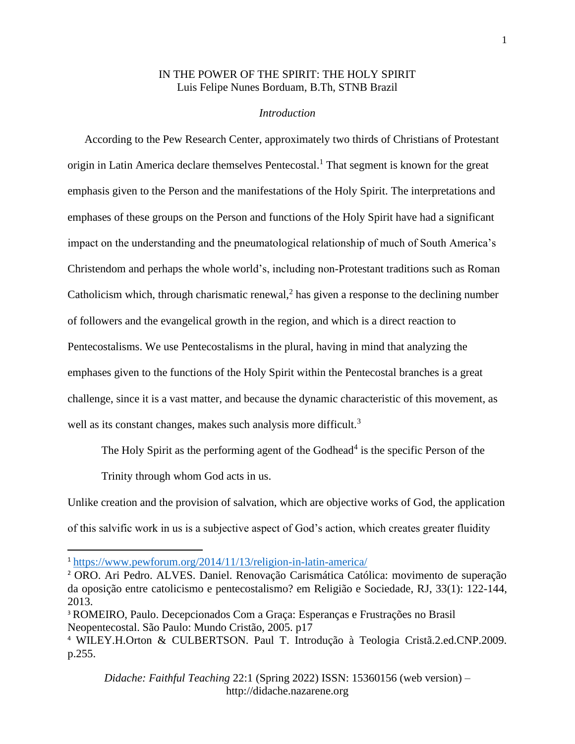# IN THE POWER OF THE SPIRIT: THE HOLY SPIRIT Luis Felipe Nunes Borduam, B.Th, STNB Brazil

#### *Introduction*

 According to the Pew Research Center, approximately two thirds of Christians of Protestant origin in Latin America declare themselves Pentecostal.<sup>1</sup> That segment is known for the great emphasis given to the Person and the manifestations of the Holy Spirit. The interpretations and emphases of these groups on the Person and functions of the Holy Spirit have had a significant impact on the understanding and the pneumatological relationship of much of South America's Christendom and perhaps the whole world's, including non-Protestant traditions such as Roman Catholicism which, through charismatic renewal,<sup>2</sup> has given a response to the declining number of followers and the evangelical growth in the region, and which is a direct reaction to Pentecostalisms. We use Pentecostalisms in the plural, having in mind that analyzing the emphases given to the functions of the Holy Spirit within the Pentecostal branches is a great challenge, since it is a vast matter, and because the dynamic characteristic of this movement, as well as its constant changes, makes such analysis more difficult.<sup>3</sup>

The Holy Spirit as the performing agent of the Godhead<sup>4</sup> is the specific Person of the

Trinity through whom God acts in us.

Unlike creation and the provision of salvation, which are objective works of God, the application of this salvific work in us is a subjective aspect of God's action, which creates greater fluidity

<sup>1</sup> <https://www.pewforum.org/2014/11/13/religion-in-latin-america/>

<sup>2</sup> ORO. Ari Pedro. ALVES. Daniel. Renovação Carismática Católica: movimento de superação da oposição entre catolicismo e pentecostalismo? em Religião e Sociedade, RJ, 33(1): 122-144, 2013.

<sup>3</sup> ROMEIRO, Paulo. Decepcionados Com a Graça: Esperanças e Frustrações no Brasil Neopentecostal. São Paulo: Mundo Cristão, 2005. p17

<sup>4</sup> WILEY.H.Orton & CULBERTSON. Paul T. Introdução à Teologia Cristã.2.ed.CNP.2009. p.255.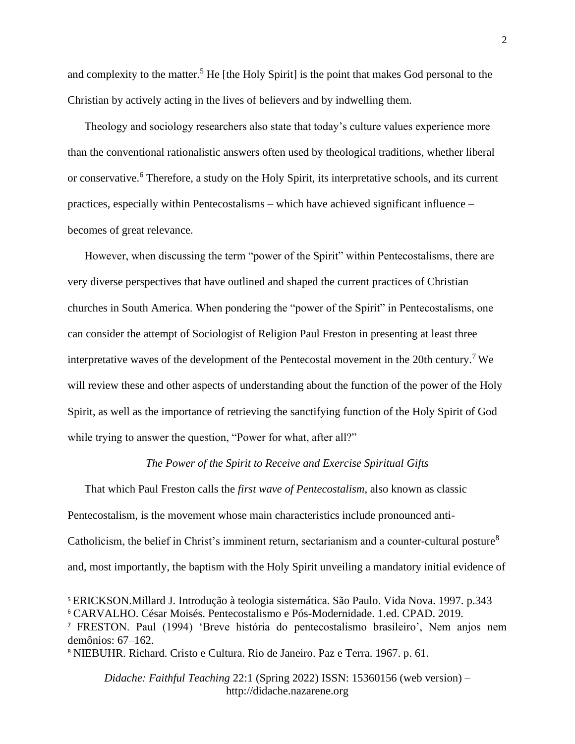and complexity to the matter.<sup>5</sup> He [the Holy Spirit] is the point that makes God personal to the Christian by actively acting in the lives of believers and by indwelling them.

 Theology and sociology researchers also state that today's culture values experience more than the conventional rationalistic answers often used by theological traditions, whether liberal or conservative.<sup>6</sup> Therefore, a study on the Holy Spirit, its interpretative schools, and its current practices, especially within Pentecostalisms – which have achieved significant influence – becomes of great relevance.

 However, when discussing the term "power of the Spirit" within Pentecostalisms, there are very diverse perspectives that have outlined and shaped the current practices of Christian churches in South America. When pondering the "power of the Spirit" in Pentecostalisms, one can consider the attempt of Sociologist of Religion Paul Freston in presenting at least three interpretative waves of the development of the Pentecostal movement in the 20th century.<sup>7</sup> We will review these and other aspects of understanding about the function of the power of the Holy Spirit, as well as the importance of retrieving the sanctifying function of the Holy Spirit of God while trying to answer the question, "Power for what, after all?"

#### *The Power of the Spirit to Receive and Exercise Spiritual Gifts*

 That which Paul Freston calls the *first wave of Pentecostalism*, also known as classic Pentecostalism, is the movement whose main characteristics include pronounced anti-Catholicism, the belief in Christ's imminent return, sectarianism and a counter-cultural posture<sup>8</sup> and, most importantly, the baptism with the Holy Spirit unveiling a mandatory initial evidence of

*Didache: Faithful Teaching* 22:1 (Spring 2022) ISSN: 15360156 (web version) – http://didache.nazarene.org

<sup>5</sup> ERICKSON.Millard J. Introdução à teologia sistemática. São Paulo. Vida Nova. 1997. p.343 <sup>6</sup> CARVALHO. César Moisés. Pentecostalismo e Pós-Modernidade. 1.ed. CPAD. 2019.

<sup>7</sup> FRESTON. Paul (1994) 'Breve história do pentecostalismo brasileiro', Nem anjos nem demônios: 67–162.

<sup>8</sup> NIEBUHR. Richard. Cristo e Cultura. Rio de Janeiro. Paz e Terra. 1967. p. 61.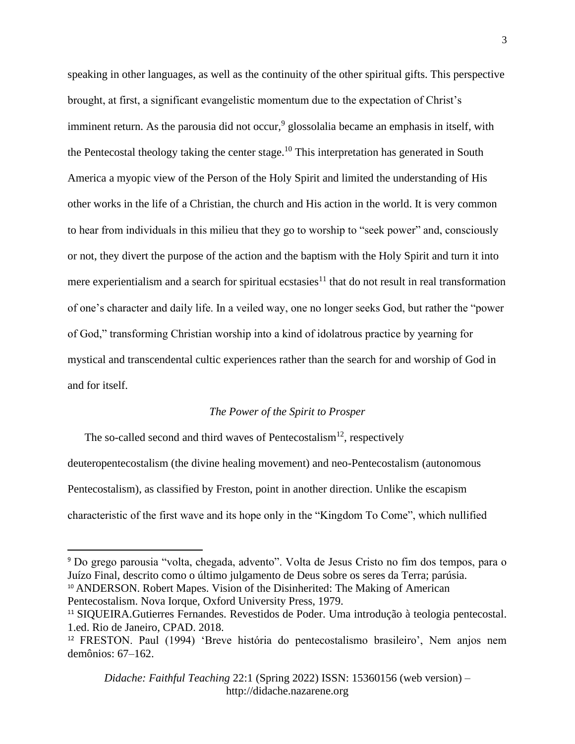speaking in other languages, as well as the continuity of the other spiritual gifts. This perspective brought, at first, a significant evangelistic momentum due to the expectation of Christ's imminent return. As the parousia did not occur,<sup>9</sup> glossolalia became an emphasis in itself, with the Pentecostal theology taking the center stage.<sup>10</sup> This interpretation has generated in South America a myopic view of the Person of the Holy Spirit and limited the understanding of His other works in the life of a Christian, the church and His action in the world. It is very common to hear from individuals in this milieu that they go to worship to "seek power" and, consciously or not, they divert the purpose of the action and the baptism with the Holy Spirit and turn it into mere experientialism and a search for spiritual ecstasies<sup>11</sup> that do not result in real transformation of one's character and daily life. In a veiled way, one no longer seeks God, but rather the "power of God," transforming Christian worship into a kind of idolatrous practice by yearning for mystical and transcendental cultic experiences rather than the search for and worship of God in and for itself.

### *The Power of the Spirit to Prosper*

The so-called second and third waves of Pentecostalism<sup>12</sup>, respectively deuteropentecostalism (the divine healing movement) and neo-Pentecostalism (autonomous Pentecostalism), as classified by Freston, point in another direction. Unlike the escapism characteristic of the first wave and its hope only in the "Kingdom To Come", which nullified

<sup>11</sup> SIQUEIRA.Gutierres Fernandes. Revestidos de Poder. Uma introdução à teologia pentecostal. 1.ed. Rio de Janeiro, CPAD. 2018.

<sup>9</sup> Do grego parousia "volta, chegada, advento". Volta de Jesus Cristo no fim dos tempos, para o Juízo Final, descrito como o último julgamento de Deus sobre os seres da Terra; parúsia. <sup>10</sup> ANDERSON. Robert Mapes. Vision of the Disinherited: The Making of American Pentecostalism. Nova Iorque, Oxford University Press, 1979.

<sup>12</sup> FRESTON. Paul (1994) 'Breve história do pentecostalismo brasileiro', Nem anjos nem demônios: 67–162.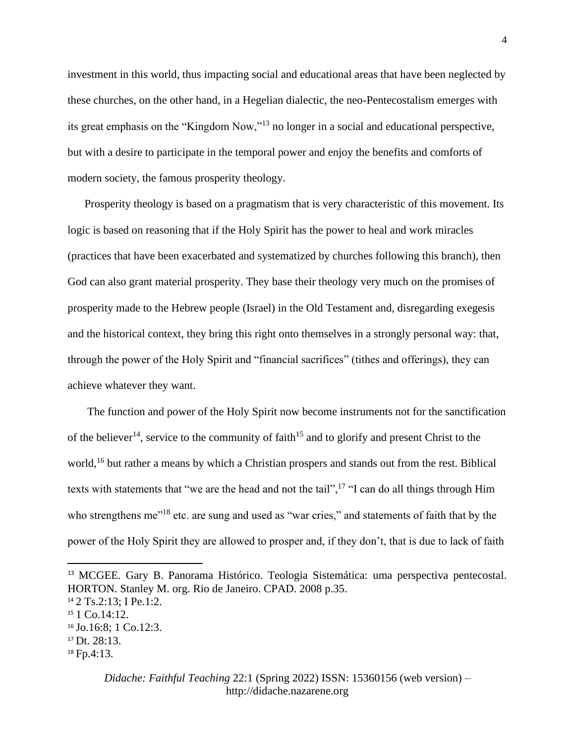investment in this world, thus impacting social and educational areas that have been neglected by these churches, on the other hand, in a Hegelian dialectic, the neo-Pentecostalism emerges with its great emphasis on the "Kingdom Now,"<sup>13</sup> no longer in a social and educational perspective, but with a desire to participate in the temporal power and enjoy the benefits and comforts of modern society, the famous prosperity theology.

 Prosperity theology is based on a pragmatism that is very characteristic of this movement. Its logic is based on reasoning that if the Holy Spirit has the power to heal and work miracles (practices that have been exacerbated and systematized by churches following this branch), then God can also grant material prosperity. They base their theology very much on the promises of prosperity made to the Hebrew people (Israel) in the Old Testament and, disregarding exegesis and the historical context, they bring this right onto themselves in a strongly personal way: that, through the power of the Holy Spirit and "financial sacrifices" (tithes and offerings), they can achieve whatever they want.

 The function and power of the Holy Spirit now become instruments not for the sanctification of the believer<sup>14</sup>, service to the community of faith<sup>15</sup> and to glorify and present Christ to the world,<sup>16</sup> but rather a means by which a Christian prospers and stands out from the rest. Biblical texts with statements that "we are the head and not the tail",  $17$  "I can do all things through Him who strengthens me<sup>"18</sup> etc. are sung and used as "war cries," and statements of faith that by the power of the Holy Spirit they are allowed to prosper and, if they don't, that is due to lack of faith

<sup>13</sup> MCGEE. Gary B. Panorama Histórico. Teologia Sistemática: uma perspectiva pentecostal. HORTON. Stanley M. org. Rio de Janeiro. CPAD. 2008 p.35.

<sup>14</sup> 2 Ts.2:13; I Pe.1:2.

<sup>15</sup> 1 Co.14:12.

<sup>16</sup> Jo.16:8; 1 Co.12:3.

<sup>17</sup> Dt. 28:13.

<sup>18</sup> Fp.4:13.

*Didache: Faithful Teaching* 22:1 (Spring 2022) ISSN: 15360156 (web version) – http://didache.nazarene.org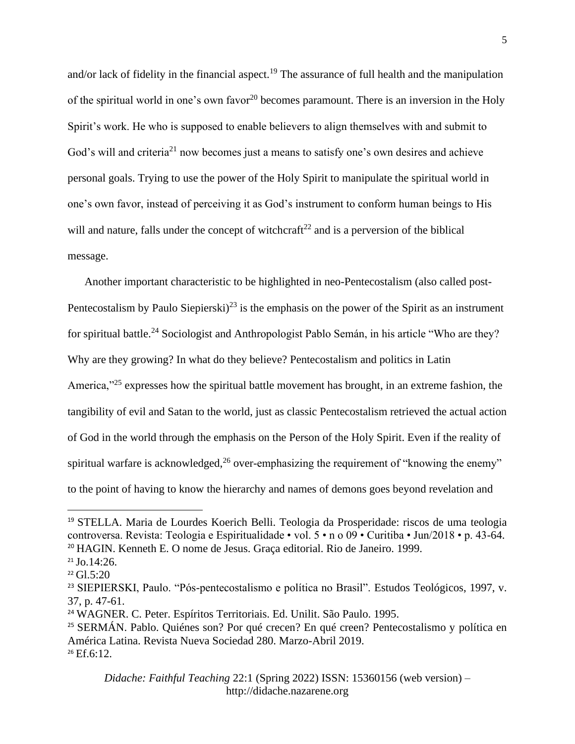and/or lack of fidelity in the financial aspect.<sup>19</sup> The assurance of full health and the manipulation of the spiritual world in one's own favor<sup>20</sup> becomes paramount. There is an inversion in the Holy Spirit's work. He who is supposed to enable believers to align themselves with and submit to God's will and criteria<sup>21</sup> now becomes just a means to satisfy one's own desires and achieve personal goals. Trying to use the power of the Holy Spirit to manipulate the spiritual world in one's own favor, instead of perceiving it as God's instrument to conform human beings to His will and nature, falls under the concept of witchcraft<sup>22</sup> and is a perversion of the biblical message.

 Another important characteristic to be highlighted in neo-Pentecostalism (also called post-Pentecostalism by Paulo Siepierski $)^{23}$  is the emphasis on the power of the Spirit as an instrument for spiritual battle.<sup>24</sup> Sociologist and Anthropologist Pablo Semán, in his article "Who are they? Why are they growing? In what do they believe? Pentecostalism and politics in Latin America,"<sup>25</sup> expresses how the spiritual battle movement has brought, in an extreme fashion, the tangibility of evil and Satan to the world, just as classic Pentecostalism retrieved the actual action of God in the world through the emphasis on the Person of the Holy Spirit. Even if the reality of spiritual warfare is acknowledged,  $^{26}$  over-emphasizing the requirement of "knowing the enemy" to the point of having to know the hierarchy and names of demons goes beyond revelation and

*Didache: Faithful Teaching* 22:1 (Spring 2022) ISSN: 15360156 (web version) – http://didache.nazarene.org

<sup>19</sup> STELLA. Maria de Lourdes Koerich Belli. Teologia da Prosperidade: riscos de uma teologia controversa. Revista: Teologia e Espiritualidade • vol. 5 • n o 09 • Curitiba • Jun/2018 • p. 43-64. <sup>20</sup> HAGIN. Kenneth E. O nome de Jesus. Graça editorial. Rio de Janeiro. 1999.

 $21$  Jo.14:26.

 $22 \text{ Gl.}5:20$ 

<sup>23</sup> SIEPIERSKI, Paulo. "Pós-pentecostalismo e política no Brasil". Estudos Teológicos, 1997, v. 37, p. 47-61.

<sup>24</sup> WAGNER. C. Peter. Espíritos Territoriais. Ed. Unilit. São Paulo. 1995.

<sup>25</sup> SERMÁN. Pablo. Quiénes son? Por qué crecen? En qué creen? Pentecostalismo y política en América Latina. Revista Nueva Sociedad 280. Marzo-Abril 2019.  $26$  Ef.6:12.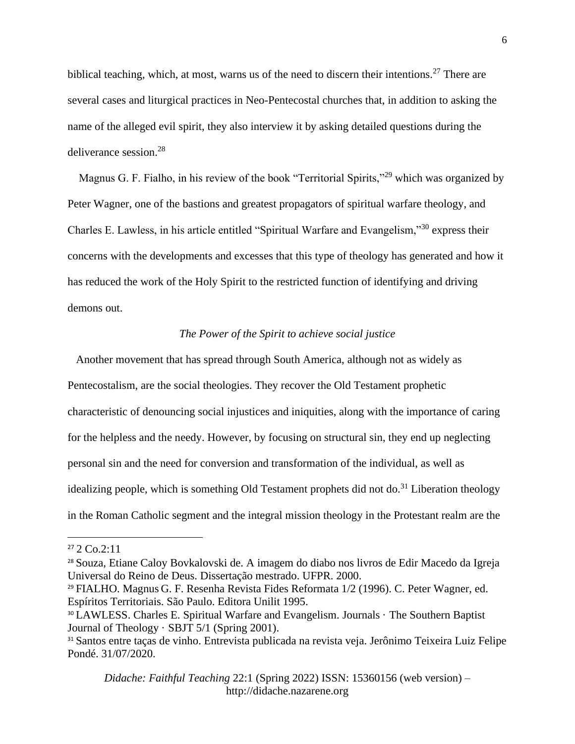biblical teaching, which, at most, warns us of the need to discern their intentions.<sup>27</sup> There are several cases and liturgical practices in Neo-Pentecostal churches that, in addition to asking the name of the alleged evil spirit, they also interview it by asking detailed questions during the deliverance session.<sup>28</sup>

Magnus G. F. Fialho, in his review of the book "Territorial Spirits,"<sup>29</sup> which was organized by Peter Wagner, one of the bastions and greatest propagators of spiritual warfare theology, and Charles E. Lawless, in his article entitled "Spiritual Warfare and Evangelism,"<sup>30</sup> express their concerns with the developments and excesses that this type of theology has generated and how it has reduced the work of the Holy Spirit to the restricted function of identifying and driving demons out.

## *The Power of the Spirit to achieve social justice*

 Another movement that has spread through South America, although not as widely as Pentecostalism, are the social theologies. They recover the Old Testament prophetic characteristic of denouncing social injustices and iniquities, along with the importance of caring for the helpless and the needy. However, by focusing on structural sin, they end up neglecting personal sin and the need for conversion and transformation of the individual, as well as idealizing people, which is something Old Testament prophets did not do.<sup>31</sup> Liberation theology in the Roman Catholic segment and the integral mission theology in the Protestant realm are the

<sup>29</sup> FIALHO. Magnus G. F. Resenha Revista Fides Reformata 1/2 (1996). C. Peter Wagner, ed. Espíritos Territoriais. São Paulo. Editora Unilit 1995.

*Didache: Faithful Teaching* 22:1 (Spring 2022) ISSN: 15360156 (web version) – http://didache.nazarene.org

 $27$  2 Co.2:11

<sup>28</sup> Souza, Etiane Caloy Bovkalovski de. A imagem do diabo nos livros de Edir Macedo da Igreja Universal do Reino de Deus. Dissertação mestrado. UFPR. 2000.

<sup>30</sup> LAWLESS. Charles E. Spiritual Warfare and Evangelism. [Journals](https://equip.sbts.edu/category/publications/journals/) · [The Southern Baptist](https://equip.sbts.edu/category/publications/journals/journal-of-theology/)  [Journal of Theology](https://equip.sbts.edu/category/publications/journals/journal-of-theology/) · [SBJT 5/1 \(Spring 2001\).](https://equip.sbts.edu/category/publications/journals/journal-of-theology/sbjt-51-spring-2001/)

<sup>31</sup> Santos entre taças de vinho. Entrevista publicada na revista veja. Jerônimo Teixeira Luiz Felipe Pondé. 31/07/2020.